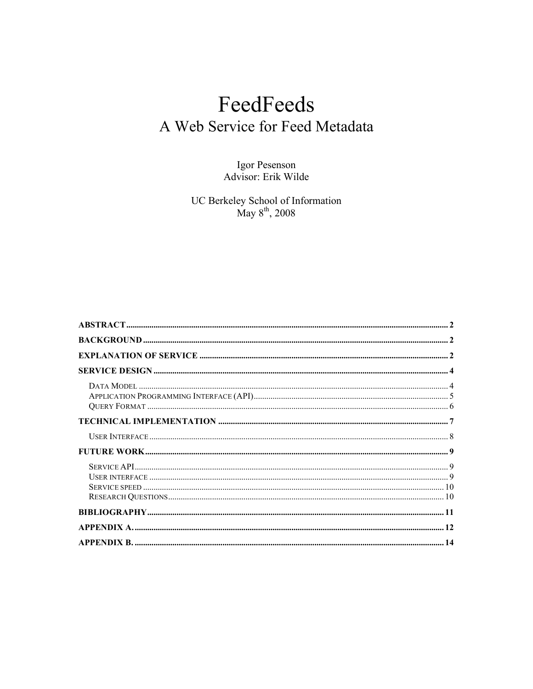# FeedFeeds A Web Service for Feed Metadata

Igor Pesenson<br>Advisor: Erik Wilde

UC Berkeley School of Information<br>May  $8^{th}$ , 2008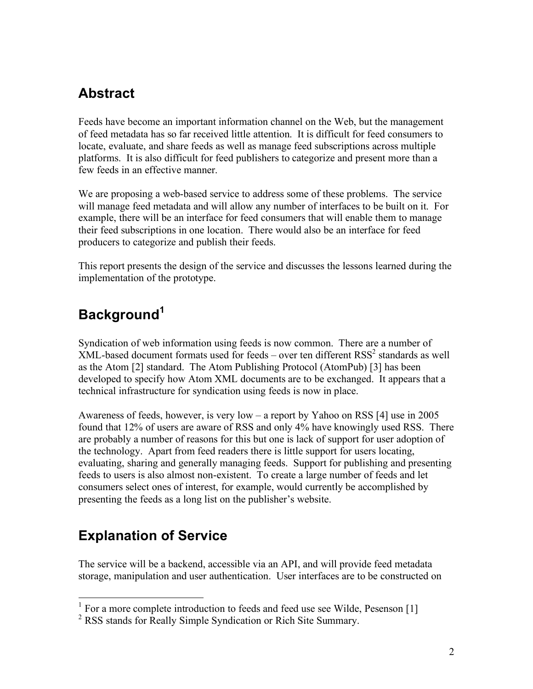## **Abstract**

Feeds have become an important information channel on the Web, but the management of feed metadata has so far received little attention. It is difficult for feed consumers to locate, evaluate, and share feeds as well as manage feed subscriptions across multiple platforms. It is also difficult for feed publishers to categorize and present more than a few feeds in an effective manner.

We are proposing a web-based service to address some of these problems. The service will manage feed metadata and will allow any number of interfaces to be built on it. For example, there will be an interface for feed consumers that will enable them to manage their feed subscriptions in one location. There would also be an interface for feed producers to categorize and publish their feeds.

This report presents the design of the service and discusses the lessons learned during the implementation of the prototype.

# **Background<sup>1</sup>**

Syndication of web information using feeds is now common. There are a number of  $XML$ -based document formats used for feeds – over ten different  $RSS<sup>2</sup>$  standards as well as the Atom [2] standard. The Atom Publishing Protocol (AtomPub) [3] has been developed to specify how Atom XML documents are to be exchanged. It appears that a technical infrastructure for syndication using feeds is now in place.

Awareness of feeds, however, is very low – a report by Yahoo on RSS [4] use in 2005 found that 12% of users are aware of RSS and only 4% have knowingly used RSS. There are probably a number of reasons for this but one is lack of support for user adoption of the technology. Apart from feed readers there is little support for users locating, evaluating, sharing and generally managing feeds. Support for publishing and presenting feeds to users is also almost non-existent. To create a large number of feeds and let consumers select ones of interest, for example, would currently be accomplished by presenting the feeds as a long list on the publisher's website.

## **Explanation of Service**

The service will be a backend, accessible via an API, and will provide feed metadata storage, manipulation and user authentication. User interfaces are to be constructed on

<sup>&</sup>lt;sup>1</sup> For a more complete introduction to feeds and feed use see Wilde, Pesenson [1]

<sup>2</sup> RSS stands for Really Simple Syndication or Rich Site Summary.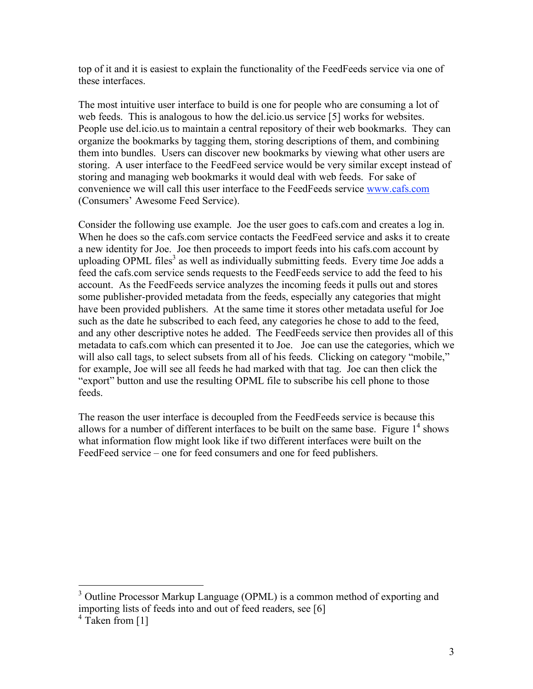top of it and it is easiest to explain the functionality of the FeedFeeds service via one of these interfaces.

The most intuitive user interface to build is one for people who are consuming a lot of web feeds. This is analogous to how the del.icio.us service [5] works for websites. People use del.icio.us to maintain a central repository of their web bookmarks. They can organize the bookmarks by tagging them, storing descriptions of them, and combining them into bundles. Users can discover new bookmarks by viewing what other users are storing. A user interface to the FeedFeed service would be very similar except instead of storing and managing web bookmarks it would deal with web feeds. For sake of convenience we will call this user interface to the FeedFeeds service www.cafs.com (Consumers' Awesome Feed Service).

Consider the following use example. Joe the user goes to cafs.com and creates a log in. When he does so the cafs.com service contacts the FeedFeed service and asks it to create a new identity for Joe. Joe then proceeds to import feeds into his cafs.com account by uploading OPML files<sup>3</sup> as well as individually submitting feeds. Every time Joe adds a feed the cafs.com service sends requests to the FeedFeeds service to add the feed to his account. As the FeedFeeds service analyzes the incoming feeds it pulls out and stores some publisher-provided metadata from the feeds, especially any categories that might have been provided publishers. At the same time it stores other metadata useful for Joe such as the date he subscribed to each feed, any categories he chose to add to the feed, and any other descriptive notes he added. The FeedFeeds service then provides all of this metadata to cafs.com which can presented it to Joe. Joe can use the categories, which we will also call tags, to select subsets from all of his feeds. Clicking on category "mobile," for example, Joe will see all feeds he had marked with that tag. Joe can then click the "export" button and use the resulting OPML file to subscribe his cell phone to those feeds.

The reason the user interface is decoupled from the FeedFeeds service is because this allows for a number of different interfaces to be built on the same base. Figure  $1<sup>4</sup>$  shows what information flow might look like if two different interfaces were built on the FeedFeed service – one for feed consumers and one for feed publishers.

<sup>&</sup>lt;sup>3</sup> Outline Processor Markup Language (OPML) is a common method of exporting and importing lists of feeds into and out of feed readers, see [6]

 $4$  Taken from [1]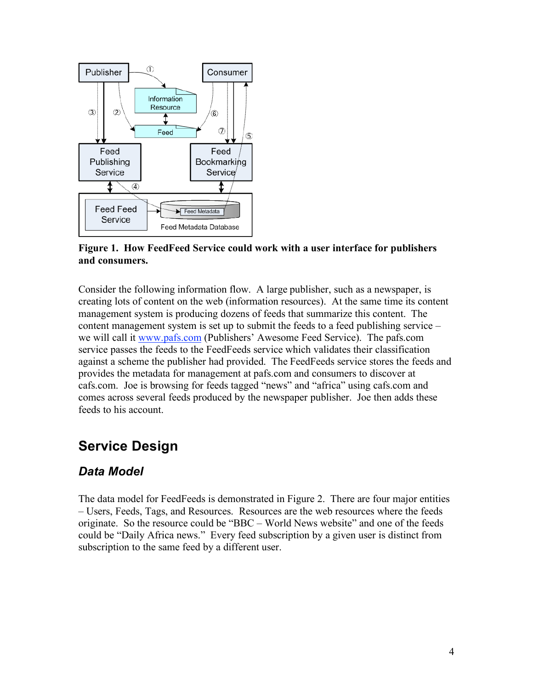

**Figure 1. How FeedFeed Service could work with a user interface for publishers and consumers.**

Consider the following information flow. A large publisher, such as a newspaper, is creating lots of content on the web (information resources). At the same time its content management system is producing dozens of feeds that summarize this content. The content management system is set up to submit the feeds to a feed publishing service – we will call it www.pafs.com (Publishers' Awesome Feed Service). The pafs.com service passes the feeds to the FeedFeeds service which validates their classification against a scheme the publisher had provided. The FeedFeeds service stores the feeds and provides the metadata for management at pafs.com and consumers to discover at cafs.com. Joe is browsing for feeds tagged "news" and "africa" using cafs.com and comes across several feeds produced by the newspaper publisher. Joe then adds these feeds to his account.

## **Service Design**

### *Data Model*

The data model for FeedFeeds is demonstrated in Figure 2. There are four major entities – Users, Feeds, Tags, and Resources. Resources are the web resources where the feeds originate. So the resource could be "BBC – World News website" and one of the feeds could be "Daily Africa news." Every feed subscription by a given user is distinct from subscription to the same feed by a different user.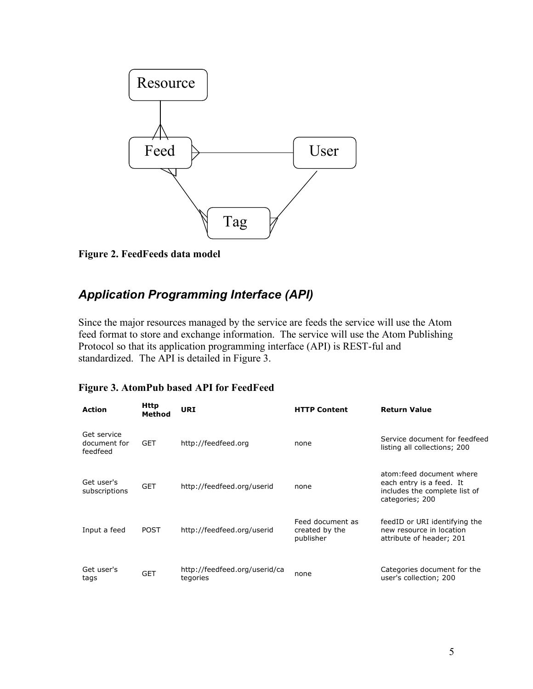

**Figure 2. FeedFeeds data model**

### *Application Programming Interface (API)*

Since the major resources managed by the service are feeds the service will use the Atom feed format to store and exchange information. The service will use the Atom Publishing Protocol so that its application programming interface (API) is REST-ful and standardized. The API is detailed in Figure 3.

#### **Figure 3. AtomPub based API for FeedFeed**

| <b>Action</b>                           | Http<br>Method | <b>URI</b>                                | <b>HTTP Content</b>                             | <b>Return Value</b>                                                                                       |
|-----------------------------------------|----------------|-------------------------------------------|-------------------------------------------------|-----------------------------------------------------------------------------------------------------------|
| Get service<br>document for<br>feedfeed | <b>GET</b>     | http://feedfeed.org                       | none                                            | Service document for feedfeed<br>listing all collections; 200                                             |
| Get user's<br>subscriptions             | <b>GET</b>     | http://feedfeed.org/userid                | none                                            | atom: feed document where<br>each entry is a feed. It<br>includes the complete list of<br>categories; 200 |
| Input a feed                            | <b>POST</b>    | http://feedfeed.org/userid                | Feed document as<br>created by the<br>publisher | feedID or URI identifying the<br>new resource in location<br>attribute of header; 201                     |
| Get user's<br>tags                      | <b>GET</b>     | http://feedfeed.org/userid/ca<br>tegories | none                                            | Categories document for the<br>user's collection; 200                                                     |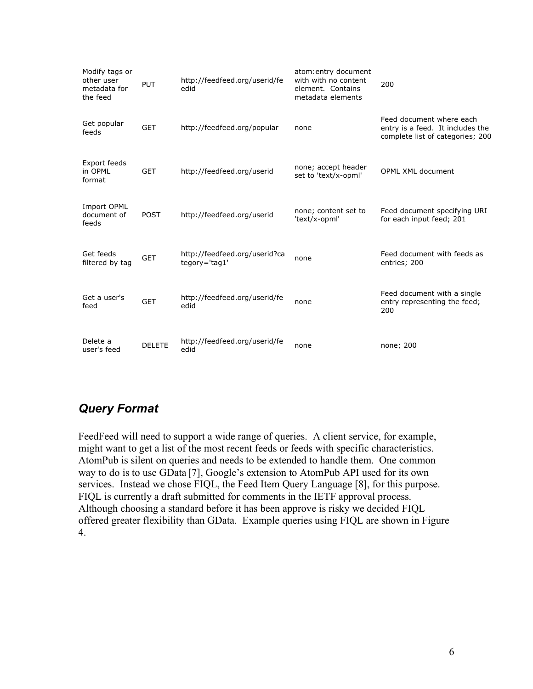| Modify tags or<br>other user<br>metadata for<br>the feed | <b>PUT</b>    | http://feedfeed.org/userid/fe<br>edid          | atom: entry document<br>with with no content<br>element. Contains<br>metadata elements | 200                                                                                              |
|----------------------------------------------------------|---------------|------------------------------------------------|----------------------------------------------------------------------------------------|--------------------------------------------------------------------------------------------------|
| Get popular<br>feeds                                     | <b>GET</b>    | http://feedfeed.org/popular                    | none                                                                                   | Feed document where each<br>entry is a feed. It includes the<br>complete list of categories; 200 |
| Export feeds<br>in OPML<br>format                        | <b>GET</b>    | http://feedfeed.org/userid                     | none; accept header<br>set to 'text/x-opml'                                            | <b>OPML XML document</b>                                                                         |
| <b>Import OPML</b><br>document of<br>feeds               | <b>POST</b>   | http://feedfeed.org/userid                     | none; content set to<br>'text/x-opml'                                                  | Feed document specifying URI<br>for each input feed; 201                                         |
| Get feeds<br>filtered by tag                             | <b>GET</b>    | http://feedfeed.org/userid?ca<br>tegory='tag1' | none                                                                                   | Feed document with feeds as<br>entries; 200                                                      |
| Get a user's<br>feed                                     | <b>GET</b>    | http://feedfeed.org/userid/fe<br>edid          | none                                                                                   | Feed document with a single<br>entry representing the feed;<br>200                               |
| Delete a<br>user's feed                                  | <b>DELETE</b> | http://feedfeed.org/userid/fe<br>edid          | none                                                                                   | none; 200                                                                                        |

### *Query Format*

FeedFeed will need to support a wide range of queries. A client service, for example, might want to get a list of the most recent feeds or feeds with specific characteristics. AtomPub is silent on queries and needs to be extended to handle them. One common way to do is to use GData [7], Google's extension to AtomPub API used for its own services. Instead we chose FIQL, the Feed Item Query Language [8], for this purpose. FIQL is currently a draft submitted for comments in the IETF approval process. Although choosing a standard before it has been approve is risky we decided FIQL offered greater flexibility than GData. Example queries using FIQL are shown in Figure 4.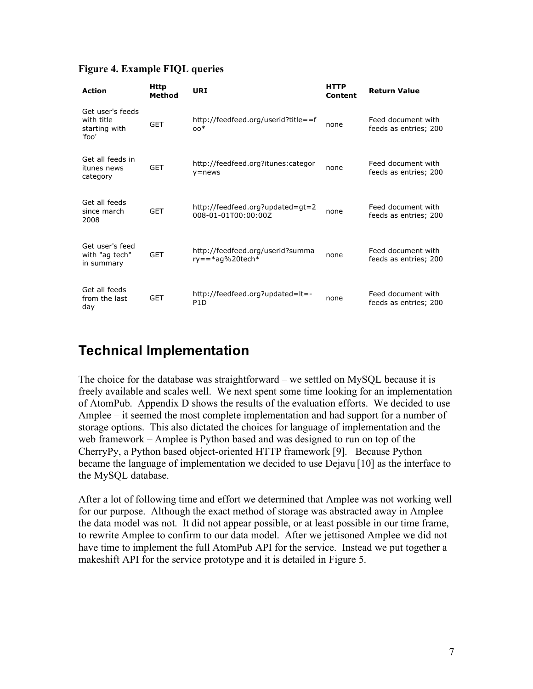|  | <b>Figure 4. Example FIQL queries</b> |  |  |
|--|---------------------------------------|--|--|
|--|---------------------------------------|--|--|

| <b>Action</b>                                            | <b>Http</b><br>Method | <b>URI</b>                                                | <b>HTTP</b><br>Content | <b>Return Value</b>                         |
|----------------------------------------------------------|-----------------------|-----------------------------------------------------------|------------------------|---------------------------------------------|
| Get user's feeds<br>with title<br>starting with<br>'foo' | <b>GET</b>            | http://feedfeed.org/userid?title==f<br>$00*$              | none                   | Feed document with<br>feeds as entries; 200 |
| Get all feeds in<br>itunes news<br>category              | <b>GET</b>            | http://feedfeed.org?itunes:categor<br>$y = news$          | none                   | Feed document with<br>feeds as entries; 200 |
| Get all feeds<br>since march<br>2008                     | <b>GET</b>            | http://feedfeed.org?updated=gt=2<br>008-01-01T00:00:00Z   | none                   | Feed document with<br>feeds as entries; 200 |
| Get user's feed<br>with "ag tech"<br>in summary          | <b>GET</b>            | http://feedfeed.org/userid?summa<br>$ry = = *aq$ %20tech* | none                   | Feed document with<br>feeds as entries; 200 |
| Get all feeds<br>from the last<br>day                    | GET                   | http://feedfeed.org?updated=lt=-<br>P <sub>1</sub> D      | none                   | Feed document with<br>feeds as entries; 200 |

## **Technical Implementation**

The choice for the database was straightforward – we settled on MySQL because it is freely available and scales well. We next spent some time looking for an implementation of AtomPub. Appendix D shows the results of the evaluation efforts. We decided to use Amplee – it seemed the most complete implementation and had support for a number of storage options. This also dictated the choices for language of implementation and the web framework – Amplee is Python based and was designed to run on top of the CherryPy, a Python based object-oriented HTTP framework [9]. Because Python became the language of implementation we decided to use Dejavu [10] as the interface to the MySQL database.

After a lot of following time and effort we determined that Amplee was not working well for our purpose. Although the exact method of storage was abstracted away in Amplee the data model was not. It did not appear possible, or at least possible in our time frame, to rewrite Amplee to confirm to our data model. After we jettisoned Amplee we did not have time to implement the full AtomPub API for the service. Instead we put together a makeshift API for the service prototype and it is detailed in Figure 5.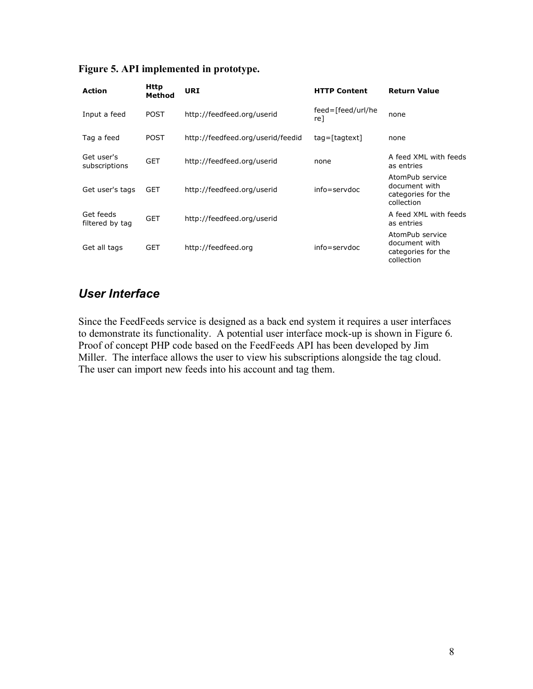| <b>Action</b>                | Http<br>Method | URI                               | <b>HTTP Content</b>      | <b>Return Value</b>                                                  |
|------------------------------|----------------|-----------------------------------|--------------------------|----------------------------------------------------------------------|
| Input a feed                 | <b>POST</b>    | http://feedfeed.org/userid        | feed=[feed/url/he<br>re1 | none                                                                 |
| Tag a feed                   | <b>POST</b>    | http://feedfeed.org/userid/feedid | $tagtext{$               | none                                                                 |
| Get user's<br>subscriptions  | <b>GET</b>     | http://feedfeed.org/userid        | none                     | A feed XML with feeds<br>as entries                                  |
| Get user's tags              | <b>GET</b>     | http://feedfeed.org/userid        | $info =$ servdoc         | AtomPub service<br>document with<br>categories for the<br>collection |
| Get feeds<br>filtered by tag | <b>GET</b>     | http://feedfeed.org/userid        |                          | A feed XML with feeds<br>as entries                                  |
| Get all tags                 | GET            | http://feedfeed.org               | $info =$ servdoc         | AtomPub service<br>document with<br>categories for the<br>collection |

#### **Figure 5. API implemented in prototype.**

#### *User Interface*

Since the FeedFeeds service is designed as a back end system it requires a user interfaces to demonstrate its functionality. A potential user interface mock-up is shown in Figure 6. Proof of concept PHP code based on the FeedFeeds API has been developed by Jim Miller. The interface allows the user to view his subscriptions alongside the tag cloud. The user can import new feeds into his account and tag them.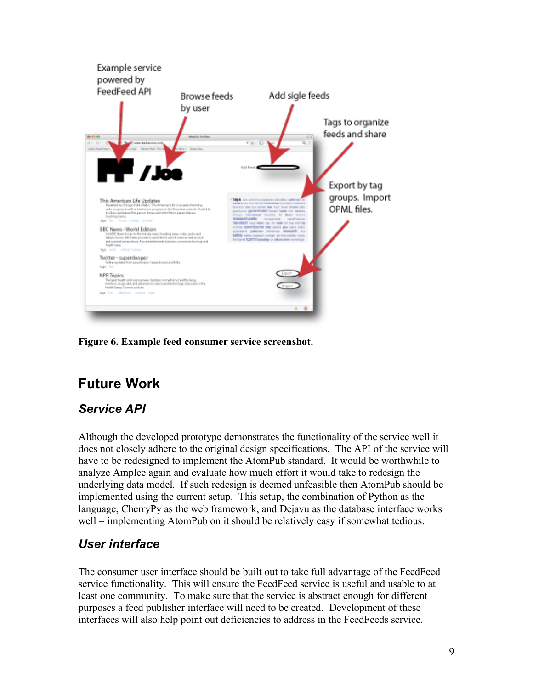

**Figure 6. Example feed consumer service screenshot.**

# **Future Work**

### *Service API*

Although the developed prototype demonstrates the functionality of the service well it does not closely adhere to the original design specifications. The API of the service will have to be redesigned to implement the AtomPub standard. It would be worthwhile to analyze Amplee again and evaluate how much effort it would take to redesign the underlying data model. If such redesign is deemed unfeasible then AtomPub should be implemented using the current setup. This setup, the combination of Python as the language, CherryPy as the web framework, and Dejavu as the database interface works well – implementing AtomPub on it should be relatively easy if somewhat tedious.

### *User interface*

The consumer user interface should be built out to take full advantage of the FeedFeed service functionality. This will ensure the FeedFeed service is useful and usable to at least one community. To make sure that the service is abstract enough for different purposes a feed publisher interface will need to be created. Development of these interfaces will also help point out deficiencies to address in the FeedFeeds service.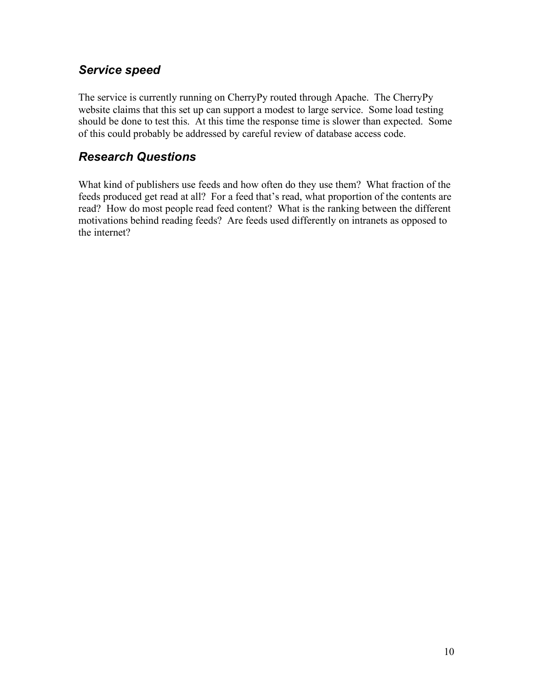#### *Service speed*

The service is currently running on CherryPy routed through Apache. The CherryPy website claims that this set up can support a modest to large service. Some load testing should be done to test this. At this time the response time is slower than expected. Some of this could probably be addressed by careful review of database access code.

#### *Research Questions*

What kind of publishers use feeds and how often do they use them? What fraction of the feeds produced get read at all? For a feed that's read, what proportion of the contents are read? How do most people read feed content? What is the ranking between the different motivations behind reading feeds? Are feeds used differently on intranets as opposed to the internet?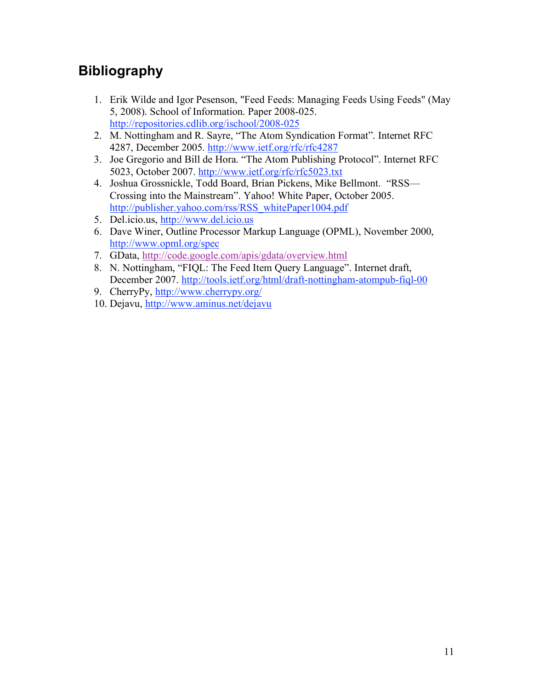## **Bibliography**

- 1. Erik Wilde and Igor Pesenson, "Feed Feeds: Managing Feeds Using Feeds" (May 5, 2008). School of Information. Paper 2008-025. http://repositories.cdlib.org/ischool/2008-025
- 2. M. Nottingham and R. Sayre, "The Atom Syndication Format". Internet RFC 4287, December 2005. http://www.ietf.org/rfc/rfc4287
- 3. Joe Gregorio and Bill de Hora. "The Atom Publishing Protocol". Internet RFC 5023, October 2007. http://www.ietf.org/rfc/rfc5023.txt
- 4. Joshua Grossnickle, Todd Board, Brian Pickens, Mike Bellmont. "RSS— Crossing into the Mainstream". Yahoo! White Paper, October 2005. http://publisher.yahoo.com/rss/RSS\_whitePaper1004.pdf
- 5. Del.icio.us, http://www.del.icio.us
- 6. Dave Winer, Outline Processor Markup Language (OPML), November 2000, http://www.opml.org/spec
- 7. GData, http://code.google.com/apis/gdata/overview.html
- 8. N. Nottingham, "FIQL: The Feed Item Query Language". Internet draft, December 2007. http://tools.ietf.org/html/draft-nottingham-atompub-fiql-00
- 9. CherryPy, http://www.cherrypy.org/
- 10. Dejavu, http://www.aminus.net/dejavu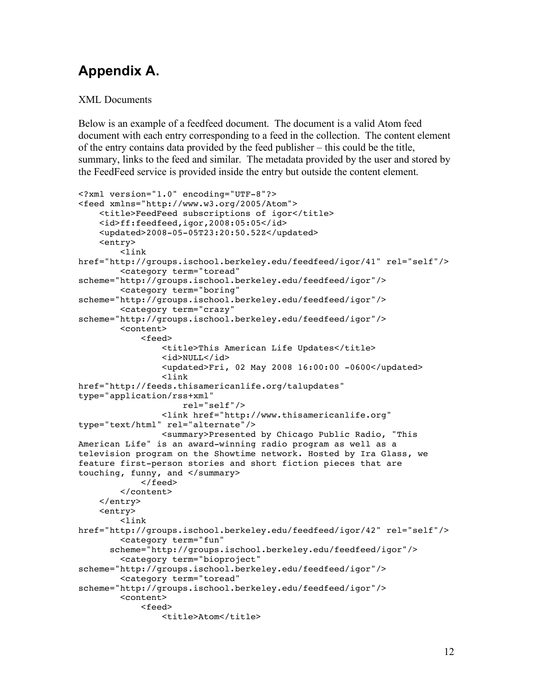# **Appendix A.**

#### XML Documents

Below is an example of a feedfeed document. The document is a valid Atom feed document with each entry corresponding to a feed in the collection. The content element of the entry contains data provided by the feed publisher – this could be the title, summary, links to the feed and similar. The metadata provided by the user and stored by the FeedFeed service is provided inside the entry but outside the content element.

```
<?xml version="1.0" encoding="UTF-8"?>
<feed xmlns="http://www.w3.org/2005/Atom">
    <title>FeedFeed subscriptions of igor</title>
    <id>ff:feedfeed,igor,2008:05:05</id>
    <updated>2008-05-05T23:20:50.52Z</updated>
    <entry>
        <link
href="http://groups.ischool.berkeley.edu/feedfeed/igor/41" rel="self"/>
        <category term="toread"
scheme="http://groups.ischool.berkeley.edu/feedfeed/igor"/>
        <category term="boring"
scheme="http://groups.ischool.berkeley.edu/feedfeed/igor"/>
        <category term="crazy"
scheme="http://groups.ischool.berkeley.edu/feedfeed/igor"/>
        <content>
            <feed>
                <title>This American Life Updates</title>
                <id>NULL</id>
                <updated>Fri, 02 May 2008 16:00:00 -0600</updated>
                <link
href="http://feeds.thisamericanlife.org/talupdates"
type="application/rss+xml"
                    rel="self"/>
                <link href="http://www.thisamericanlife.org"
type="text/html" rel="alternate"/>
                <summary>Presented by Chicago Public Radio, "This
American Life" is an award-winning radio program as well as a
television program on the Showtime network. Hosted by Ira Glass, we
feature first-person stories and short fiction pieces that are
touching, funny, and </summary>
            </feed>
        </content>
    </entry>
    <entry>
        <link
href="http://groups.ischool.berkeley.edu/feedfeed/igor/42" rel="self"/>
        <category term="fun"
      scheme="http://groups.ischool.berkeley.edu/feedfeed/igor"/>
        <category term="bioproject"
scheme="http://groups.ischool.berkeley.edu/feedfeed/igor"/>
        <category term="toread"
scheme="http://groups.ischool.berkeley.edu/feedfeed/igor"/>
        <content>
            <feed>
                <title>Atom</title>
```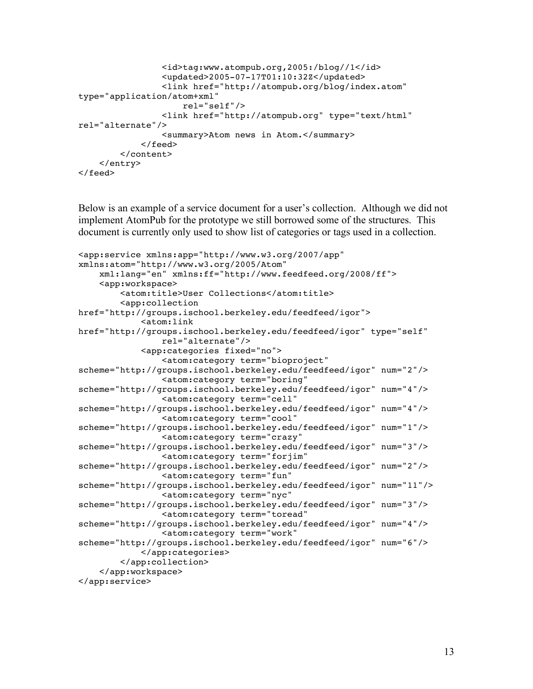```
<id>tag:www.atompub.org,2005:/blog//1</id>
                <updated>2005-07-17T01:10:32Z</updated>
                <link href="http://atompub.org/blog/index.atom"
type="application/atom+xml"
                    rel="self"/>
                <link href="http://atompub.org" type="text/html"
rel="alternate"/>
                <summary>Atom news in Atom.</summary>
            </feed>
        </content>
   </entry>
</feed>
```
Below is an example of a service document for a user's collection. Although we did not implement AtomPub for the prototype we still borrowed some of the structures. This document is currently only used to show list of categories or tags used in a collection.

```
<app:service xmlns:app="http://www.w3.org/2007/app"
xmlns:atom="http://www.w3.org/2005/Atom"
    xml:lang="en" xmlns:ff="http://www.feedfeed.org/2008/ff">
    <app:workspace>
        <atom:title>User Collections</atom:title>
        <app:collection
href="http://groups.ischool.berkeley.edu/feedfeed/igor">
            <atom:link
href="http://groups.ischool.berkeley.edu/feedfeed/igor" type="self"
                rel="alternate"/>
            <app:categories fixed="no">
                <atom:category term="bioproject"
scheme="http://groups.ischool.berkeley.edu/feedfeed/igor" num="2"/>
                <atom:category term="boring"
scheme="http://groups.ischool.berkeley.edu/feedfeed/igor" num="4"/>
                <atom:category term="cell"
scheme="http://groups.ischool.berkeley.edu/feedfeed/igor" num="4"/>
                <atom:category term="cool"
scheme="http://groups.ischool.berkeley.edu/feedfeed/igor" num="1"/>
                <atom:category term="crazy"
scheme="http://groups.ischool.berkeley.edu/feedfeed/igor" num="3"/>
                <atom:category term="forjim"
scheme="http://groups.ischool.berkeley.edu/feedfeed/igor" num="2"/>
                <atom:category term="fun"
scheme="http://groups.ischool.berkeley.edu/feedfeed/igor" num="11"/>
                <atom:category term="nyc"
scheme="http://groups.ischool.berkeley.edu/feedfeed/igor" num="3"/>
                <atom:category term="toread"
scheme="http://groups.ischool.berkeley.edu/feedfeed/igor" num="4"/>
                <atom:category term="work"
scheme="http://groups.ischool.berkeley.edu/feedfeed/igor" num="6"/>
            </app:categories>
        </app:collection>
    </app:workspace>
</app:service>
```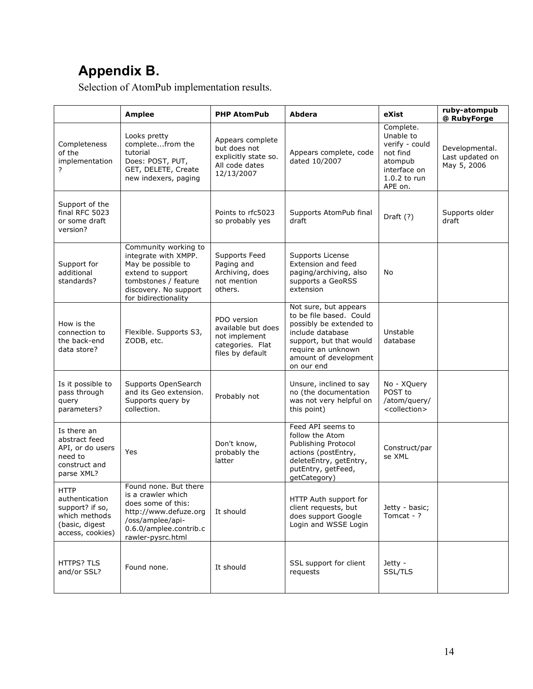# **Appendix B.**

Selection of AtomPub implementation results.

|                                                                                                         | <b>Amplee</b>                                                                                                                                                    | <b>PHP AtomPub</b>                                                                         | <b>Abdera</b>                                                                                                                                                                           | eXist                                                                                                      | ruby-atompub<br>@ RubyForge                      |
|---------------------------------------------------------------------------------------------------------|------------------------------------------------------------------------------------------------------------------------------------------------------------------|--------------------------------------------------------------------------------------------|-----------------------------------------------------------------------------------------------------------------------------------------------------------------------------------------|------------------------------------------------------------------------------------------------------------|--------------------------------------------------|
| Completeness<br>of the<br>implementation<br>?                                                           | Looks pretty<br>completefrom the<br>tutorial<br>Does: POST, PUT,<br>GET, DELETE, Create<br>new indexers, paging                                                  | Appears complete<br>but does not<br>explicitly state so.<br>All code dates<br>12/13/2007   | Appears complete, code<br>dated 10/2007                                                                                                                                                 | Complete.<br>Unable to<br>verify - could<br>not find<br>atompub<br>interface on<br>1.0.2 to run<br>APE on. | Developmental.<br>Last updated on<br>May 5, 2006 |
| Support of the<br>final RFC 5023<br>or some draft<br>version?                                           |                                                                                                                                                                  | Points to rfc5023<br>so probably yes                                                       | Supports AtomPub final<br>draft                                                                                                                                                         | Draft (?)                                                                                                  | Supports older<br>draft                          |
| Support for<br>additional<br>standards?                                                                 | Community working to<br>integrate with XMPP.<br>May be possible to<br>extend to support<br>tombstones / feature<br>discovery. No support<br>for bidirectionality | Supports Feed<br>Paging and<br>Archiving, does<br>not mention<br>others.                   | Supports License<br>Extension and feed<br>paging/archiving, also<br>supports a GeoRSS<br>extension                                                                                      | No                                                                                                         |                                                  |
| How is the<br>connection to<br>the back-end<br>data store?                                              | Flexible. Supports S3,<br>ZODB, etc.                                                                                                                             | PDO version<br>available but does<br>not implement<br>categories. Flat<br>files by default | Not sure, but appears<br>to be file based. Could<br>possibly be extended to<br>include database<br>support, but that would<br>require an unknown<br>amount of development<br>on our end | Unstable<br>database                                                                                       |                                                  |
| Is it possible to<br>pass through<br>query<br>parameters?                                               | Supports OpenSearch<br>and its Geo extension.<br>Supports query by<br>collection.                                                                                | Probably not                                                                               | Unsure, inclined to say<br>no (the documentation<br>was not very helpful on<br>this point)                                                                                              | No - XQuery<br>POST to<br>/atom/query/<br><collection></collection>                                        |                                                  |
| Is there an<br>abstract feed<br>API, or do users<br>need to<br>construct and<br>parse XML?              | Yes                                                                                                                                                              | Don't know,<br>probably the<br>latter                                                      | Feed API seems to<br>follow the Atom<br>Publishing Protocol<br>actions (postEntry,<br>deleteEntry, getEntry,<br>putEntry, getFeed,<br>getCategory)                                      | Construct/par<br>se XML                                                                                    |                                                  |
| <b>HTTP</b><br>authentication<br>support? if so,<br>which methods<br>(basic, digest<br>access, cookies) | Found none. But there<br>is a crawler which<br>does some of this:<br>http://www.defuze.org<br>/oss/amplee/api-<br>0.6.0/amplee.contrib.c<br>rawler-pysrc.html    | It should                                                                                  | HTTP Auth support for<br>client requests, but<br>does support Google<br>Login and WSSE Login                                                                                            | Jetty - basic;<br>Tomcat - ?                                                                               |                                                  |
| <b>HTTPS? TLS</b><br>and/or SSL?                                                                        | Found none.                                                                                                                                                      | It should                                                                                  | SSL support for client<br>requests                                                                                                                                                      | Jetty -<br>SSL/TLS                                                                                         |                                                  |